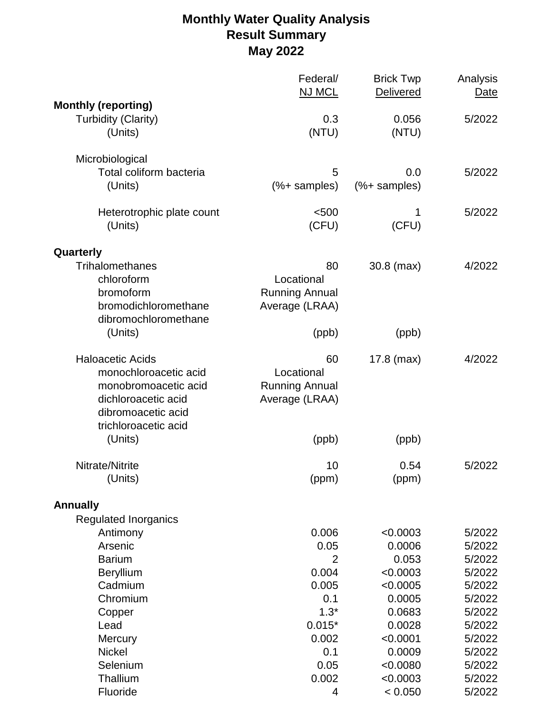## **Monthly Water Quality Analysis Result Summary May 2022**

|                             | Federal/<br><b>NJ MCL</b> | <b>Brick Twp</b><br><b>Delivered</b> | Analysis<br>Date |
|-----------------------------|---------------------------|--------------------------------------|------------------|
| <b>Monthly (reporting)</b>  |                           |                                      |                  |
| <b>Turbidity (Clarity)</b>  | 0.3                       | 0.056                                | 5/2022           |
| (Units)                     | (NTU)                     | (NTU)                                |                  |
| Microbiological             |                           |                                      |                  |
| Total coliform bacteria     | 5                         | 0.0                                  | 5/2022           |
| (Units)                     | $(% )$ samples)           | $(% )$ samples)                      |                  |
| Heterotrophic plate count   | < 500                     | 1                                    | 5/2022           |
| (Units)                     | (CFU)                     | (CFU)                                |                  |
| Quarterly                   |                           |                                      |                  |
| Trihalomethanes             | 80                        | $30.8$ (max)                         | 4/2022           |
| chloroform                  | Locational                |                                      |                  |
| bromoform                   | <b>Running Annual</b>     |                                      |                  |
| bromodichloromethane        | Average (LRAA)            |                                      |                  |
| dibromochloromethane        |                           |                                      |                  |
| (Units)                     | (ppb)                     | (ppb)                                |                  |
| <b>Haloacetic Acids</b>     | 60                        | 17.8 (max)                           | 4/2022           |
| monochloroacetic acid       | Locational                |                                      |                  |
| monobromoacetic acid        | <b>Running Annual</b>     |                                      |                  |
| dichloroacetic acid         | Average (LRAA)            |                                      |                  |
| dibromoacetic acid          |                           |                                      |                  |
| trichloroacetic acid        |                           |                                      |                  |
| (Units)                     | (ppb)                     | (ppb)                                |                  |
| Nitrate/Nitrite             | 10                        | 0.54                                 | 5/2022           |
| (Units)                     | (ppm)                     | (ppm)                                |                  |
| <b>Annually</b>             |                           |                                      |                  |
| <b>Regulated Inorganics</b> |                           |                                      |                  |
| Antimony                    | 0.006                     | < 0.0003                             | 5/2022           |
| Arsenic                     | 0.05                      | 0.0006                               | 5/2022           |
| <b>Barium</b>               | 2                         | 0.053                                | 5/2022           |
| Beryllium                   | 0.004                     | < 0.0003                             | 5/2022           |
| Cadmium                     | 0.005                     | < 0.0005                             | 5/2022           |
| Chromium                    | 0.1                       | 0.0005                               | 5/2022           |
| Copper                      | $1.3*$                    | 0.0683                               | 5/2022           |
| Lead                        | $0.015*$                  | 0.0028                               | 5/2022           |
| <b>Mercury</b>              | 0.002                     | < 0.0001                             | 5/2022           |
| <b>Nickel</b>               | 0.1                       | 0.0009                               | 5/2022           |
| Selenium<br>Thallium        | 0.05<br>0.002             | < 0.0080                             | 5/2022           |
| Fluoride                    | 4                         | < 0.0003<br>< 0.050                  | 5/2022<br>5/2022 |
|                             |                           |                                      |                  |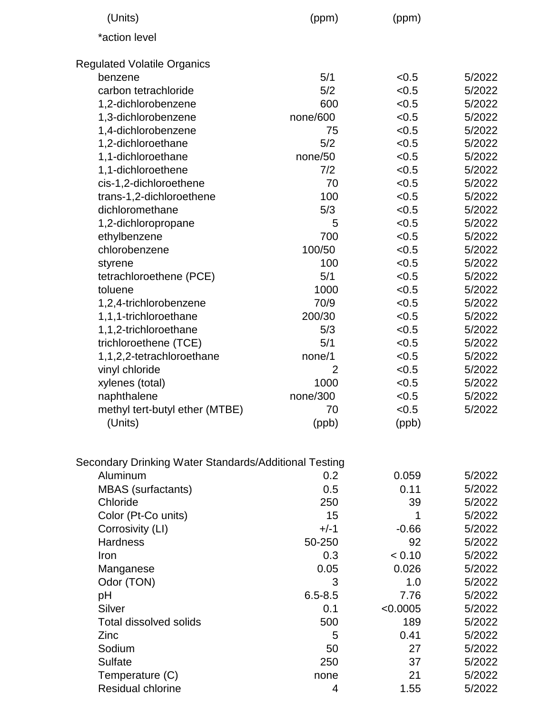| (Units)                                               | (ppm)       | (ppm)    |        |
|-------------------------------------------------------|-------------|----------|--------|
| *action level                                         |             |          |        |
| <b>Regulated Volatile Organics</b>                    |             |          |        |
| benzene                                               | 5/1         | < 0.5    | 5/2022 |
| carbon tetrachloride                                  | 5/2         | < 0.5    | 5/2022 |
| 1,2-dichlorobenzene                                   | 600         | < 0.5    | 5/2022 |
| 1,3-dichlorobenzene                                   | none/600    | < 0.5    | 5/2022 |
| 1,4-dichlorobenzene                                   | 75          | < 0.5    | 5/2022 |
| 1,2-dichloroethane                                    | 5/2         | < 0.5    | 5/2022 |
| 1,1-dichloroethane                                    | none/50     | < 0.5    | 5/2022 |
| 1,1-dichloroethene                                    | 7/2         | < 0.5    | 5/2022 |
| cis-1,2-dichloroethene                                | 70          | < 0.5    | 5/2022 |
| trans-1,2-dichloroethene                              | 100         | < 0.5    | 5/2022 |
| dichloromethane                                       | 5/3         | < 0.5    | 5/2022 |
| 1,2-dichloropropane                                   | 5           | < 0.5    | 5/2022 |
| ethylbenzene                                          | 700         | < 0.5    | 5/2022 |
| chlorobenzene                                         | 100/50      | < 0.5    | 5/2022 |
|                                                       |             |          |        |
| styrene                                               | 100         | < 0.5    | 5/2022 |
| tetrachloroethene (PCE)                               | 5/1         | < 0.5    | 5/2022 |
| toluene                                               | 1000        | < 0.5    | 5/2022 |
| 1,2,4-trichlorobenzene                                | 70/9        | < 0.5    | 5/2022 |
| 1,1,1-trichloroethane                                 | 200/30      | < 0.5    | 5/2022 |
| 1,1,2-trichloroethane                                 | 5/3         | < 0.5    | 5/2022 |
| trichloroethene (TCE)                                 | 5/1         | < 0.5    | 5/2022 |
| 1,1,2,2-tetrachloroethane                             | none/1      | < 0.5    | 5/2022 |
| vinyl chloride                                        | 2           | < 0.5    | 5/2022 |
| xylenes (total)                                       | 1000        | < 0.5    | 5/2022 |
| naphthalene                                           | none/300    | < 0.5    | 5/2022 |
| methyl tert-butyl ether (MTBE)                        | 70          | < 0.5    | 5/2022 |
| (Units)                                               | (ppb)       | (ppb)    |        |
| Secondary Drinking Water Standards/Additional Testing |             |          |        |
| Aluminum                                              | 0.2         | 0.059    | 5/2022 |
| <b>MBAS</b> (surfactants)                             | 0.5         | 0.11     | 5/2022 |
| Chloride                                              | 250         | 39       | 5/2022 |
| Color (Pt-Co units)                                   | 15          | 1        | 5/2022 |
| Corrosivity (LI)                                      | $+/-1$      | $-0.66$  | 5/2022 |
| <b>Hardness</b>                                       | 50-250      | 92       | 5/2022 |
| Iron                                                  | 0.3         | < 0.10   | 5/2022 |
|                                                       | 0.05        | 0.026    |        |
| Manganese                                             |             |          | 5/2022 |
| Odor (TON)                                            | 3           | 1.0      | 5/2022 |
| рH                                                    | $6.5 - 8.5$ | 7.76     | 5/2022 |
| Silver                                                | 0.1         | < 0.0005 | 5/2022 |
| <b>Total dissolved solids</b>                         | 500         | 189      | 5/2022 |
| Zinc                                                  | 5           | 0.41     | 5/2022 |
| Sodium                                                | 50          | 27       | 5/2022 |
| Sulfate                                               | 250         | 37       | 5/2022 |
| Temperature (C)                                       | none        | 21       | 5/2022 |
| Residual chlorine                                     | 4           | 1.55     | 5/2022 |